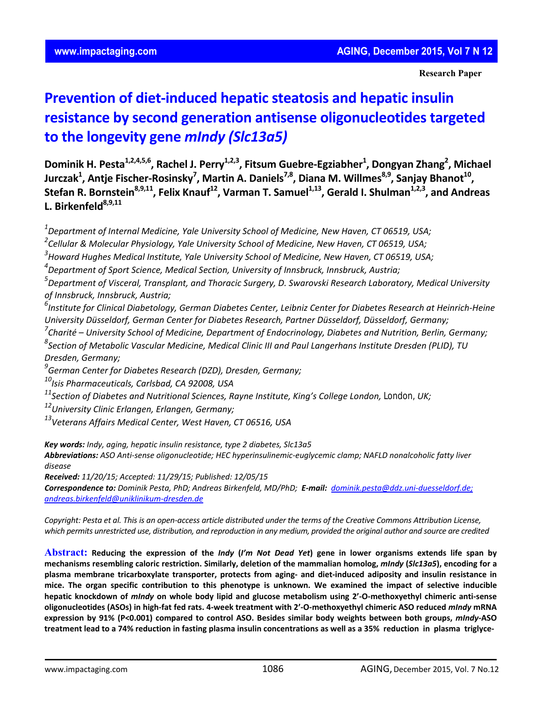**Research Paper**

# **Prevention of diet‐induced hepatic steatosis and hepatic insulin resistance by second generation antisense oligonucleotides targeted to the longevity gene** *mIndy (Slc13a5)*

**Dominik H. Pesta1,2,4,5,6, Rachel J. Perry1,2,3, Fitsum Guebre‐Egziabher1 , Dongyan Zhang2 , Michael Jurczak1 , Antje Fischer‐Rosinsky7 , Martin A. Daniels7,8, Diana M. Willmes8,9, Sanjay Bhanot10, Stefan R. Bornstein**<sup>8,9,11</sup>, Felix Knauf<sup>12</sup>, Varman T. Samuel<sup>1,13</sup>, Gerald I. Shulman<sup>1,2,3</sup>, and Andreas L. Birkenfeld<sup>8,9,11</sup>

*1 Department of Internal Medicine, Yale University School of Medicine, New Haven, CT 06519, USA;* 

*2 Cellular & Molecular Physiology, Yale University School of Medicine, New Haven, CT 06519, USA;*

*3 Howard Hughes Medical Institute, Yale University School of Medicine, New Haven, CT 06519, USA;*

*4 Department of Sport Science, Medical Section, University of Innsbruck, Innsbruck, Austria;*

*5 Department of Visceral, Transplant, and Thoracic Surgery, D. Swarovski Research Laboratory, Medical University of Innsbruck, Innsbruck, Austria;*

 $^6$ Institute for Clinical Diabetology, German Diabetes Center, Leibniz Center for Diabetes Research at Heinrich-Heine *University Düsseldorf, German Center for Diabetes Research, Partner Düsseldorf, Düsseldorf, Germany;*

*7 Charité – University School of Medicine, Department of Endocrinology, Diabetes and Nutrition, Berlin, Germany;*

*8 Section of Metabolic Vascular Medicine, Medical Clinic III and Paul Langerhans Institute Dresden (PLID), TU Dresden, Germany;*

*9 German Center for Diabetes Research (DZD), Dresden, Germany;*

*10Isis Pharmaceuticals, Carlsbad, CA 92008, USA*

*11Section of Diabetes and Nutritional Sciences, Rayne Institute, King's College London, London, UK;*

*12University Clinic Erlangen, Erlangen, Germany;*

*13Veterans Affairs Medical Center, West Haven, CT 06516, USA*

*Key words: Indy, aging, hepatic insulin resistance, type 2 diabetes, Slc13a5*

*Abbreviations: ASO Anti‐sense oligonucleotide; HEC hyperinsulinemic‐euglycemic clamp; NAFLD nonalcoholic fatty liver disease*

*Received: 11/20/15; Accepted: 11/29/15; Published: 12/05/15*

Correspondence to: Dominik Pesta, PhD; Andreas Birkenfeld, MD/PhD; E-mail: dominik.pesta@ddz.uni-duesseldorf.de; *andreas.birkenfeld@uniklinikum‐dresden.de*

Copyright: Pesta et al. This is an open-access article distributed under the terms of the Creative Commons Attribution License, which permits unrestricted use, distribution, and reproduction in any medium, provided the original author and source are credited

Abstract: Reducing the expression of the *Indy (I'm Not Dead Yet)* gene in lower organisms extends life span by mechanisms resembling caloric restriction. Similarly, deletion of the mammalian homolog, mIndy (SIc13a5), encoding for a plasma membrane tricarboxylate transporter, protects from aging- and diet-induced adiposity and insulin resistance in mice. The organ specific contribution to this phenotype is unknown. We examined the impact of selective inducible hepatic knockdown of mindy on whole body lipid and glucose metabolism using 2'-O-methoxyethyl chimeric anti-sense oligonucleotides (ASOs) in high-fat fed rats. 4-week treatment with 2'-O-methoxyethyl chimeric ASO reduced mindy mRNA expression by 91% (P<0.001) compared to control ASO. Besides similar body weights between both groups, mIndy-ASO treatment lead to a 74% reduction in fasting plasma insulin concentrations as well as a 35% reduction in plasma triglyce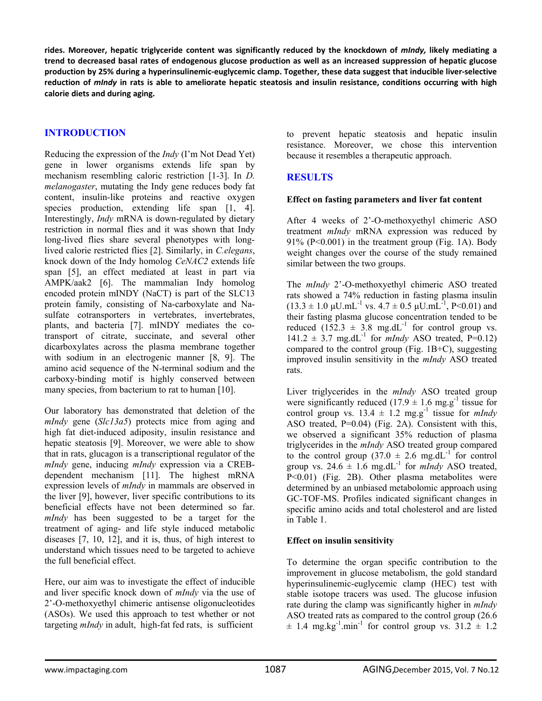rides. Moreover, hepatic triglyceride content was significantly reduced by the knockdown of *mindy*, likely mediating a trend to decreased basal rates of endogenous glucose production as well as an increased suppression of hepatic glucose production by 25% during a hyperinsulinemic-euglycemic clamp. Together, these data suggest that inducible liver-selective reduction of mIndy in rats is able to ameliorate hepatic steatosis and insulin resistance, conditions occurring with high **calorie diets and during aging.**

# **INTRODUCTION**

Reducing the expression of the *Indy* (I'm Not Dead Yet) gene in lower organisms extends life span by mechanism resembling caloric restriction [1-3]. In *D. melanogaster*, mutating the Indy gene reduces body fat content, insulin-like proteins and reactive oxygen species production, extending life span [1, 4]. Interestingly, *Indy* mRNA is down-regulated by dietary restriction in normal flies and it was shown that Indy long-lived flies share several phenotypes with longlived calorie restricted flies [2]. Similarly, in *C.elegans*, knock down of the Indy homolog *CeNAC2* extends life span [5], an effect mediated at least in part via AMPK/aak2 [6]. The mammalian Indy homolog encoded protein mINDY (NaCT) is part of the SLC13 protein family, consisting of Na-carboxylate and Nasulfate cotransporters in vertebrates, invertebrates, plants, and bacteria [7]. mINDY mediates the cotransport of citrate, succinate, and several other dicarboxylates across the plasma membrane together with sodium in an electrogenic manner [8, 9]. The amino acid sequence of the N-terminal sodium and the carboxy-binding motif is highly conserved between many species, from bacterium to rat to human [10].

Our laboratory has demonstrated that deletion of the *mIndy* gene (*Slc13a5*) protects mice from aging and high fat diet-induced adiposity, insulin resistance and hepatic steatosis [9]. Moreover, we were able to show that in rats, glucagon is a transcriptional regulator of the *mIndy* gene, inducing *mIndy* expression via a CREBdependent mechanism [11]. The highest mRNA expression levels of *mIndy* in mammals are observed in the liver [9], however, liver specific contributions to its beneficial effects have not been determined so far. *mIndy* has been suggested to be a target for the treatment of aging- and life style induced metabolic diseases [7, 10, 12], and it is, thus, of high interest to understand which tissues need to be targeted to achieve the full beneficial effect.

Here, our aim was to investigate the effect of inducible and liver specific knock down of *mIndy* via the use of 2'-O-methoxyethyl chimeric antisense oligonucleotides (ASOs). We used this approach to test whether or not targeting *mIndy* in adult, high-fat fed rats, is sufficient

to prevent hepatic steatosis and hepatic insulin resistance. Moreover, we chose this intervention because it resembles a therapeutic approach.

# **RESULTS**

## **Effect on fasting parameters and liver fat content**

After 4 weeks of 2'-O-methoxyethyl chimeric ASO treatment *mIndy* mRNA expression was reduced by 91% (P<0.001) in the treatment group (Fig. 1A). Body weight changes over the course of the study remained similar between the two groups.

The *mIndy* 2'-O-methoxyethyl chimeric ASO treated rats showed a 74% reduction in fasting plasma insulin  $(13.3 \pm 1.0 \,\mu\text{U.mL}^{-1} \text{ vs. } 4.7 \pm 0.5 \,\mu\text{U.mL}^{-1}, \text{P} < 0.01)$  and their fasting plasma glucose concentration tended to be reduced  $(152.3 \pm 3.8 \text{ mg}.dL^{-1}$  for control group vs.  $141.2 \pm 3.7$  mg.dL<sup>-1</sup> for *mIndy* ASO treated, P=0.12) compared to the control group (Fig. 1B+C), suggesting improved insulin sensitivity in the *mIndy* ASO treated rats.

Liver triglycerides in the *mIndy* ASO treated group were significantly reduced  $(17.9 \pm 1.6 \text{ mg} \cdot \text{g}^{-1})$  tissue for control group vs.  $13.4 \pm 1.2$  mg.g<sup>-1</sup> tissue for *mIndy* ASO treated, P=0.04) (Fig. 2A). Consistent with this, we observed a significant 35% reduction of plasma triglycerides in the *mIndy* ASO treated group compared to the control group  $(37.0 \pm 2.6 \text{ mg.dL}^{-1})$  for control group vs.  $24.6 \pm 1.6$  mg.dL<sup>-1</sup> for *mIndy* ASO treated, P<0.01) (Fig. 2B). Other plasma metabolites were determined by an unbiased metabolomic approach using GC-TOF-MS. Profiles indicated significant changes in specific amino acids and total cholesterol and are listed in Table 1.

## **Effect on insulin sensitivity**

To determine the organ specific contribution to the improvement in glucose metabolism, the gold standard hyperinsulinemic-euglycemic clamp (HEC) test with stable isotope tracers was used. The glucose infusion rate during the clamp was significantly higher in *mIndy* ASO treated rats as compared to the control group (26.6  $\pm$  1.4 mg.kg<sup>-1</sup>.min<sup>-1</sup> for control group vs. 31.2  $\pm$  1.2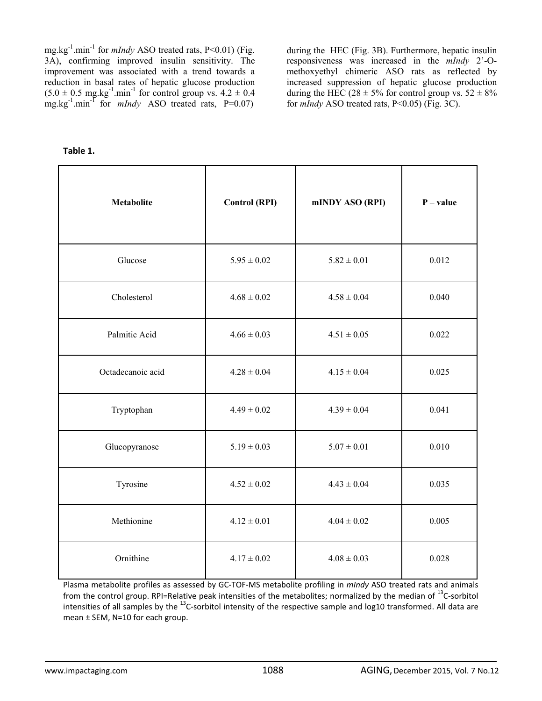mg.kg-1.min-1 for *mIndy* ASO treated rats, P<0.01) (Fig. 3A), confirming improved insulin sensitivity. The improvement was associated with a trend towards a reduction in basal rates of hepatic glucose production  $(5.0 \pm 0.5 \text{ mg} \cdot \text{kg}^{-1} \cdot \text{min}^{-1}$  for control group vs.  $4.2 \pm 0.4$ mg.kg<sup>-1</sup>.min<sup>-1</sup> for *mIndy* ASO treated rats, P=0.07)

during the HEC (Fig. 3B). Furthermore, hepatic insulin responsiveness was increased in the *mIndy* 2'-Omethoxyethyl chimeric ASO rats as reflected by increased suppression of hepatic glucose production during the HEC (28  $\pm$  5% for control group vs. 52  $\pm$  8% for *mIndy* ASO treated rats, P<0.05) (Fig. 3C).

**Table 1.** 

| <b>Metabolite</b> | <b>Control (RPI)</b> | mINDY ASO (RPI) | $P - value$ |
|-------------------|----------------------|-----------------|-------------|
| Glucose           | $5.95 \pm 0.02$      | $5.82 \pm 0.01$ | 0.012       |
| Cholesterol       | $4.68 \pm 0.02$      | $4.58 \pm 0.04$ | 0.040       |
| Palmitic Acid     | $4.66 \pm 0.03$      | $4.51 \pm 0.05$ | 0.022       |
| Octadecanoic acid | $4.28 \pm 0.04$      | $4.15 \pm 0.04$ | 0.025       |
| Tryptophan        | $4.49 \pm 0.02$      | $4.39 \pm 0.04$ | 0.041       |
| Glucopyranose     | $5.19 \pm 0.03$      | $5.07 \pm 0.01$ | 0.010       |
| Tyrosine          | $4.52 \pm 0.02$      | $4.43 \pm 0.04$ | 0.035       |
| Methionine        | $4.12 \pm 0.01$      | $4.04 \pm 0.02$ | 0.005       |
| Ornithine         | $4.17 \pm 0.02$      | $4.08 \pm 0.03$ | 0.028       |

Plasma metabolite profiles as assessed by GC‐TOF‐MS metabolite profiling in *mIndy* ASO treated rats and animals from the control group. RPI=Relative peak intensities of the metabolites; normalized by the median of <sup>13</sup>C-sorbitol intensities of all samples by the  $^{13}$ C-sorbitol intensity of the respective sample and log10 transformed. All data are mean ± SEM, N=10 for each group.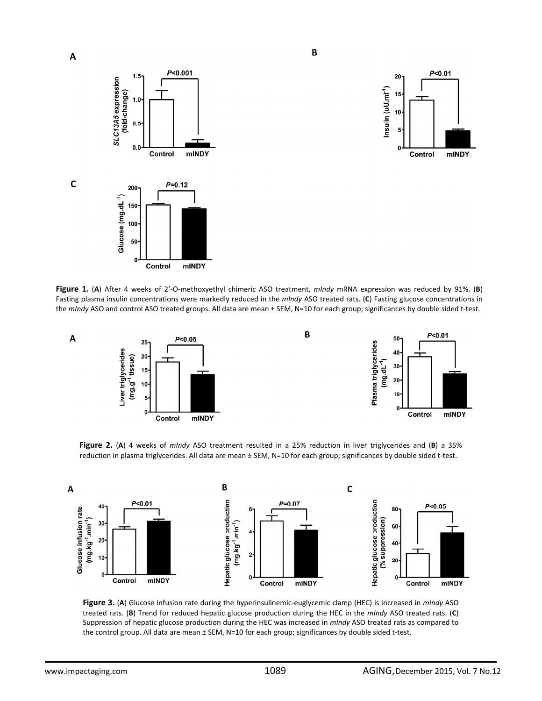



**Figure 1.** (**A**) After 4 weeks of 2'‐O‐methoxyethyl chimeric ASO treatment, *mIndy* mRNA expression was reduced by 91%. (**B**) Fasting plasma insulin concentrations were markedly reduced in the *mIndy* ASO treated rats. (**C**) Fasting glucose concentrations in the *mIndy* ASO and control ASO treated groups. All data are mean ± SEM, N=10 for each group; significances by double sided t-test.

 $\overline{B}$ 

B





**Figure 2.** (**A**) 4 weeks of *mIndy* ASO treatment resulted in a 25% reduction in liver triglycerides and (**B**) a 35% reduction in plasma triglycerides. All data are mean ± SEM, N=10 for each group; significances by double sided t-test.



**Figure 3.** (**A**) Glucose infusion rate during the hyperinsulinemic‐euglycemic clamp (HEC) is increased in *mIndy* ASO treated rats. (**B**) Trend for reduced hepatic glucose production during the HEC in the *mIndy* ASO treated rats. (**C**) Suppression of hepatic glucose production during the HEC was increased in *mIndy* ASO treated rats as compared to the control group. All data are mean ± SEM, N=10 for each group; significances by double sided t‐test.

 $\mathbf C$ 

 $\overline{A}$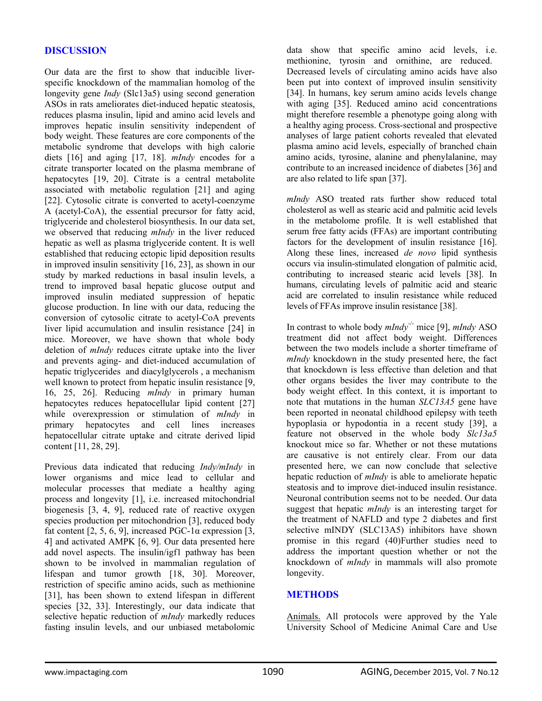# **DISCUSSION**

Our data are the first to show that inducible liverspecific knockdown of the mammalian homolog of the longevity gene *Indy* (Slc13a5) using second generation ASOs in rats ameliorates diet-induced hepatic steatosis, reduces plasma insulin, lipid and amino acid levels and improves hepatic insulin sensitivity independent of body weight. These features are core components of the metabolic syndrome that develops with high calorie diets [16] and aging [17, 18]. *mIndy* encodes for a citrate transporter located on the plasma membrane of hepatocytes [19, 20]. Citrate is a central metabolite associated with metabolic regulation [21] and aging [22]. Cytosolic citrate is converted to acetyl-coenzyme A (acetyl-CoA), the essential precursor for fatty acid, triglyceride and cholesterol biosynthesis. In our data set, we observed that reducing *mIndy* in the liver reduced hepatic as well as plasma triglyceride content. It is well established that reducing ectopic lipid deposition results in improved insulin sensitivity [16, 23], as shown in our study by marked reductions in basal insulin levels, a trend to improved basal hepatic glucose output and improved insulin mediated suppression of hepatic glucose production. In line with our data, reducing the conversion of cytosolic citrate to acetyl-CoA prevents liver lipid accumulation and insulin resistance [24] in mice. Moreover, we have shown that whole body deletion of *mIndy* reduces citrate uptake into the liver and prevents aging- and diet-induced accumulation of hepatic triglycerides and diacylglycerols , a mechanism well known to protect from hepatic insulin resistance [9, 16, 25, 26]. Reducing *mIndy* in primary human hepatocytes reduces hepatocellular lipid content [27] while overexpression or stimulation of *mIndy* in primary hepatocytes and cell lines increases hepatocellular citrate uptake and citrate derived lipid content [11, 28, 29].

Previous data indicated that reducing *Indy/mIndy* in lower organisms and mice lead to cellular and molecular processes that mediate a healthy aging process and longevity [1], i.e. increased mitochondrial biogenesis [3, 4, 9], reduced rate of reactive oxygen species production per mitochondrion [3], reduced body fat content [2, 5, 6, 9], increased PGC-1 $\alpha$  expression [3, 4] and activated AMPK [6, 9]. Our data presented here add novel aspects. The insulin/igf1 pathway has been shown to be involved in mammalian regulation of lifespan and tumor growth [18, 30]. Moreover, restriction of specific amino acids, such as methionine [31], has been shown to extend lifespan in different species [32, 33]. Interestingly, our data indicate that selective hepatic reduction of *mIndy* markedly reduces fasting insulin levels, and our unbiased metabolomic

data show that specific amino acid levels, i.e. methionine, tyrosin and ornithine, are reduced. Decreased levels of circulating amino acids have also been put into context of improved insulin sensitivity [34]. In humans, key serum amino acids levels change with aging [35]. Reduced amino acid concentrations might therefore resemble a phenotype going along with a healthy aging process. Cross-sectional and prospective analyses of large patient cohorts revealed that elevated plasma amino acid levels, especially of branched chain amino acids, tyrosine, alanine and phenylalanine, may contribute to an increased incidence of diabetes [36] and are also related to life span [37].

*mIndy* ASO treated rats further show reduced total cholesterol as well as stearic acid and palmitic acid levels in the metabolome profile. It is well established that serum free fatty acids (FFAs) are important contributing factors for the development of insulin resistance [16]. Along these lines, increased *de novo* lipid synthesis occurs via insulin-stimulated elongation of palmitic acid, contributing to increased stearic acid levels [38]. In humans, circulating levels of palmitic acid and stearic acid are correlated to insulin resistance while reduced levels of FFAs improve insulin resistance [38].

In contrast to whole body *mIndy*-/- mice [9], *mIndy* ASO treatment did not affect body weight. Differences between the two models include a shorter timeframe of *mIndy* knockdown in the study presented here, the fact that knockdown is less effective than deletion and that other organs besides the liver may contribute to the body weight effect. In this context, it is important to note that mutations in the human *SLC13A5* gene have been reported in neonatal childhood epilepsy with teeth hypoplasia or hypodontia in a recent study [39], a feature not observed in the whole body *Slc13a5* knockout mice so far. Whether or not these mutations are causative is not entirely clear. From our data presented here, we can now conclude that selective hepatic reduction of *mIndy* is able to ameliorate hepatic steatosis and to improve diet-induced insulin resistance. Neuronal contribution seems not to be needed. Our data suggest that hepatic *mIndy* is an interesting target for the treatment of NAFLD and type 2 diabetes and first selective mINDY (SLC13A5) inhibitors have shown promise in this regard (40)Further studies need to address the important question whether or not the knockdown of *mIndy* in mammals will also promote longevity.

# **METHODS**

Animals. All protocols were approved by the Yale University School of Medicine Animal Care and Use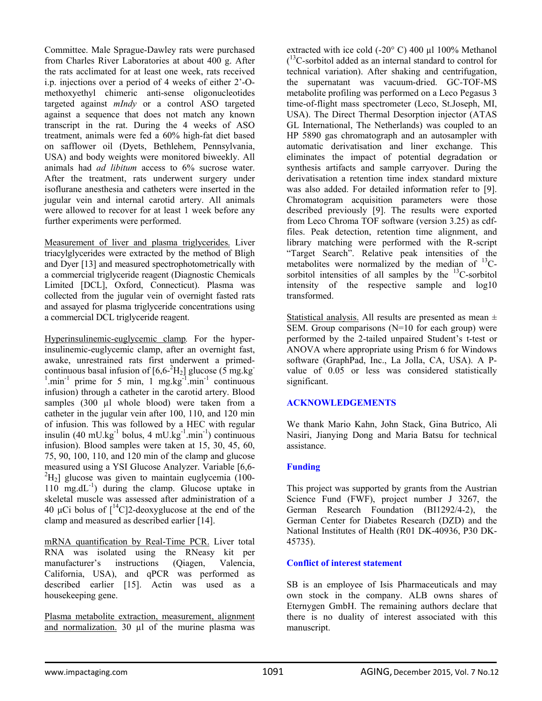Committee. Male Sprague-Dawley rats were purchased from Charles River Laboratories at about 400 g. After the rats acclimated for at least one week, rats received i.p. injections over a period of 4 weeks of either 2'-Omethoxyethyl chimeric anti-sense oligonucleotides targeted against *mIndy* or a control ASO targeted against a sequence that does not match any known transcript in the rat. During the 4 weeks of ASO treatment, animals were fed a 60% high-fat diet based on safflower oil (Dyets, Bethlehem, Pennsylvania, USA) and body weights were monitored biweekly. All animals had *ad libitum* access to 6% sucrose water. After the treatment, rats underwent surgery under isoflurane anesthesia and catheters were inserted in the jugular vein and internal carotid artery. All animals were allowed to recover for at least 1 week before any further experiments were performed.

Measurement of liver and plasma triglycerides. Liver triacylglycerides were extracted by the method of Bligh and Dyer [13] and measured spectrophotometrically with a commercial triglyceride reagent (Diagnostic Chemicals Limited [DCL], Oxford, Connecticut). Plasma was collected from the jugular vein of overnight fasted rats and assayed for plasma triglyceride concentrations using a commercial DCL triglyceride reagent.

Hyperinsulinemic-euglycemic clamp*.* For the hyperinsulinemic-euglycemic clamp, after an overnight fast, awake, unrestrained rats first underwent a primedcontinuous basal infusion of  $[6,6^{-2}H_2]$  glucose (5 mg.kg  $\frac{1}{1}$  min<sup>-1</sup> prime for 5 min, 1 mg.kg<sup>-1</sup> min<sup>-1</sup> continuous infusion) through a catheter in the carotid artery. Blood samples (300 µl whole blood) were taken from a catheter in the jugular vein after 100, 110, and 120 min of infusion. This was followed by a HEC with regular insulin (40 mU.kg $^{-1}$  bolus, 4 mU.kg $^{-1}$ .min $^{-1}$ ) continuous infusion). Blood samples were taken at 15, 30, 45, 60, 75, 90, 100, 110, and 120 min of the clamp and glucose measured using a YSI Glucose Analyzer. Variable [6,6-  $^{2}H_{2}$ ] glucose was given to maintain euglycemia (100-110 mg.dL $^{-1}$ ) during the clamp. Glucose uptake in skeletal muscle was assessed after administration of a 40 μCi bolus of  $\int_1^{14}C_1^2$ -deoxyglucose at the end of the clamp and measured as described earlier [14].

mRNA quantification by Real-Time PCR. Liver total RNA was isolated using the RNeasy kit per manufacturer's instructions (Qiagen, Valencia, California, USA), and qPCR was performed as described earlier [15]. Actin was used as a housekeeping gene.

Plasma metabolite extraction, measurement, alignment and normalization. 30 µl of the murine plasma was

extracted with ice cold (-20° C) 400 µl 100% Methanol ( 13C-sorbitol added as an internal standard to control for technical variation). After shaking and centrifugation, the supernatant was vacuum-dried. GC-TOF-MS metabolite profiling was performed on a Leco Pegasus 3 time-of-flight mass spectrometer (Leco, St.Joseph, MI, USA). The Direct Thermal Desorption injector (ATAS GL International, The Netherlands) was coupled to an HP 5890 gas chromatograph and an autosampler with automatic derivatisation and liner exchange. This eliminates the impact of potential degradation or synthesis artifacts and sample carryover. During the derivatisation a retention time index standard mixture was also added. For detailed information refer to [9]. Chromatogram acquisition parameters were those described previously [9]. The results were exported from Leco Chroma TOF software (version 3.25) as cdffiles. Peak detection, retention time alignment, and library matching were performed with the R-script "Target Search". Relative peak intensities of the metabolites were normalized by the median of  $^{13}$ Csorbitol intensities of all samples by the  ${}^{13}$ C-sorbitol intensity of the respective sample and log10 transformed.

Statistical analysis. All results are presented as mean  $\pm$ SEM. Group comparisons (N=10 for each group) were performed by the 2-tailed unpaired Student's t-test or ANOVA where appropriate using Prism 6 for Windows software (GraphPad, Inc., La Jolla, CA, USA). A Pvalue of 0.05 or less was considered statistically significant.

### **ACKNOWLEDGEMENTS**

We thank Mario Kahn, John Stack, Gina Butrico, Ali Nasiri, Jianying Dong and Maria Batsu for technical assistance.

### **Funding**

This project was supported by grants from the Austrian Science Fund (FWF), project number J 3267, the German Research Foundation (BI1292/4-2), the German Center for Diabetes Research (DZD) and the National Institutes of Health (R01 DK-40936, P30 DK-45735).

### **Conflict of interest statement**

SB is an employee of Isis Pharmaceuticals and may own stock in the company. ALB owns shares of Eternygen GmbH. The remaining authors declare that there is no duality of interest associated with this manuscript.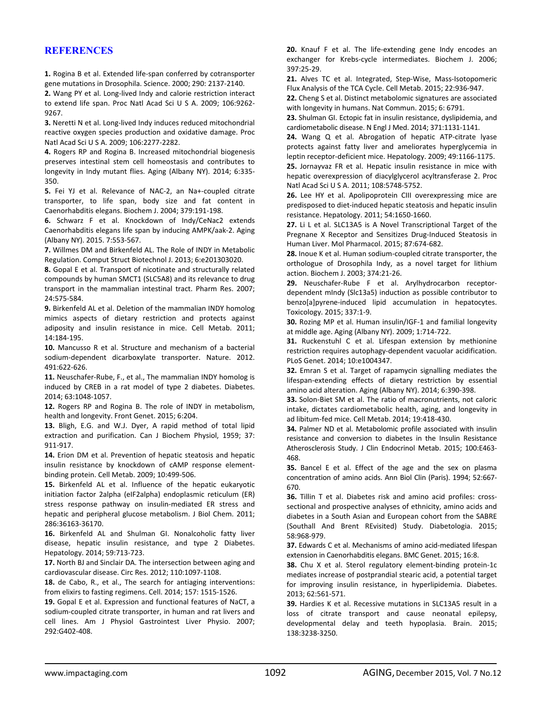## **REFERENCES**

**1.** Rogina B et al. Extended life‐span conferred by cotransporter gene mutations in Drosophila. Science. 2000; 290: 2137‐2140.

**2.** Wang PY et al. Long‐lived Indy and calorie restriction interact to extend life span. Proc Natl Acad Sci U S A. 2009; 106:9262‐ 9267.

**3.** Neretti N et al. Long‐lived Indy induces reduced mitochondrial reactive oxygen species production and oxidative damage. Proc Natl Acad Sci U S A. 2009; 106:2277‐2282.

**4.** Rogers RP and Rogina B. Increased mitochondrial biogenesis preserves intestinal stem cell homeostasis and contributes to longevity in Indy mutant flies. Aging (Albany NY). 2014; 6:335‐ 350.

**5.** Fei YJ et al. Relevance of NAC‐2, an Na+‐coupled citrate transporter, to life span, body size and fat content in Caenorhabditis elegans. Biochem J. 2004; 379:191‐198.

**6.** Schwarz F et al. Knockdown of Indy/CeNac2 extends Caenorhabditis elegans life span by inducing AMPK/aak‐2. Aging (Albany NY). 2015. 7:553‐567.

**7.** Willmes DM and Birkenfeld AL. The Role of INDY in Metabolic Regulation. Comput Struct Biotechnol J. 2013; 6:e201303020.

**8.** Gopal E et al. Transport of nicotinate and structurally related compounds by human SMCT1 (SLC5A8) and its relevance to drug transport in the mammalian intestinal tract. Pharm Res. 2007; 24:575‐584.

**9.** Birkenfeld AL et al. Deletion of the mammalian INDY homolog mimics aspects of dietary restriction and protects against adiposity and insulin resistance in mice. Cell Metab. 2011; 14:184‐195.

**10.** Mancusso R et al. Structure and mechanism of a bacterial sodium‐dependent dicarboxylate transporter. Nature. 2012. 491:622‐626.

**11.** Neuschafer‐Rube, F., et al., The mammalian INDY homolog is induced by CREB in a rat model of type 2 diabetes. Diabetes. 2014; 63:1048‐1057.

**12.** Rogers RP and Rogina B. The role of INDY in metabolism, health and longevity. Front Genet. 2015; 6:204.

**13.** Bligh, E.G. and W.J. Dyer, A rapid method of total lipid extraction and purification. Can J Biochem Physiol, 1959; 37: 911‐917.

**14.** Erion DM et al. Prevention of hepatic steatosis and hepatic insulin resistance by knockdown of cAMP response element‐ binding protein. Cell Metab. 2009; 10:499‐506.

**15.** Birkenfeld AL et al. Influence of the hepatic eukaryotic initiation factor 2alpha (eIF2alpha) endoplasmic reticulum (ER) stress response pathway on insulin‐mediated ER stress and hepatic and peripheral glucose metabolism. J Biol Chem. 2011; 286:36163‐36170.

**16.** Birkenfeld AL and Shulman GI. Nonalcoholic fatty liver disease, hepatic insulin resistance, and type 2 Diabetes. Hepatology. 2014; 59:713‐723.

**17.** North BJ and Sinclair DA. The intersection between aging and cardiovascular disease. Circ Res. 2012; 110:1097‐1108.

**18.** de Cabo, R., et al., The search for antiaging interventions: from elixirs to fasting regimens. Cell. 2014; 157: 1515‐1526.

**19.** Gopal E et al. Expression and functional features of NaCT, a sodium‐coupled citrate transporter, in human and rat livers and cell lines. Am J Physiol Gastrointest Liver Physio. 2007; 292:G402‐408.

**20.** Knauf F et al. The life‐extending gene Indy encodes an exchanger for Krebs-cycle intermediates. Biochem J. 2006; 397:25‐29.

**21.** Alves TC et al. Integrated, Step‐Wise, Mass‐Isotopomeric Flux Analysis of the TCA Cycle. Cell Metab. 2015; 22:936‐947.

**22.** Cheng S et al. Distinct metabolomic signatures are associated with longevity in humans. Nat Commun. 2015; 6: 6791.

**23.** Shulman GI. Ectopic fat in insulin resistance, dyslipidemia, and cardiometabolic disease. N Engl J Med. 2014; 371:1131‐1141.

**24.** Wang Q et al. Abrogation of hepatic ATP‐citrate lyase protects against fatty liver and ameliorates hyperglycemia in leptin receptor‐deficient mice. Hepatology. 2009; 49:1166‐1175. **25.** Jornayvaz FR et al. Hepatic insulin resistance in mice with hepatic overexpression of diacylglycerol acyltransferase 2. Proc Natl Acad Sci U S A. 2011; 108:5748‐5752.

**26.** Lee HY et al. Apolipoprotein CIII overexpressing mice are predisposed to diet‐induced hepatic steatosis and hepatic insulin resistance. Hepatology. 2011; 54:1650‐1660.

**27.** Li L et al. SLC13A5 is A Novel Transcriptional Target of the Pregnane X Receptor and Sensitizes Drug‐Induced Steatosis in Human Liver. Mol Pharmacol. 2015; 87:674‐682.

**28.** Inoue K et al. Human sodium‐coupled citrate transporter, the orthologue of Drosophila Indy, as a novel target for lithium action. Biochem J. 2003; 374:21‐26.

**29.** Neuschafer‐Rube F et al. Arylhydrocarbon receptor‐ dependent mIndy (Slc13a5) induction as possible contributor to benzo[a]pyrene‐induced lipid accumulation in hepatocytes. Toxicology. 2015; 337:1‐9.

**30.** Rozing MP et al. Human insulin/IGF‐1 and familial longevity at middle age. Aging (Albany NY). 2009; 1:714‐722.

**31.** Ruckenstuhl C et al. Lifespan extension by methionine restriction requires autophagy‐dependent vacuolar acidification. PLoS Genet. 2014; 10:e1004347.

**32.** Emran S et al. Target of rapamycin signalling mediates the lifespan‐extending effects of dietary restriction by essential amino acid alteration. Aging (Albany NY). 2014; 6:390‐398.

**33.** Solon‐Biet SM et al. The ratio of macronutrients, not caloric intake, dictates cardiometabolic health, aging, and longevity in ad libitum‐fed mice. Cell Metab. 2014; 19:418‐430.

**34.** Palmer ND et al. Metabolomic profile associated with insulin resistance and conversion to diabetes in the Insulin Resistance Atherosclerosis Study. J Clin Endocrinol Metab. 2015; 100:E463‐ 468.

**35.** Bancel E et al. Effect of the age and the sex on plasma concentration of amino acids. Ann Biol Clin (Paris). 1994; 52:667‐ 670.

**36.** Tillin T et al. Diabetes risk and amino acid profiles: cross‐ sectional and prospective analyses of ethnicity, amino acids and diabetes in a South Asian and European cohort from the SABRE (Southall And Brent REvisited) Study. Diabetologia. 2015; 58:968‐979.

**37.** Edwards C et al. Mechanisms of amino acid‐mediated lifespan extension in Caenorhabditis elegans. BMC Genet. 2015; 16:8.

**38.** Chu X et al. Sterol regulatory element‐binding protein‐1c mediates increase of postprandial stearic acid, a potential target for improving insulin resistance, in hyperlipidemia. Diabetes. 2013; 62:561‐571.

**39.** Hardies K et al. Recessive mutations in SLC13A5 result in a loss of citrate transport and cause neonatal epilepsy, developmental delay and teeth hypoplasia. Brain. 2015; 138:3238‐3250.